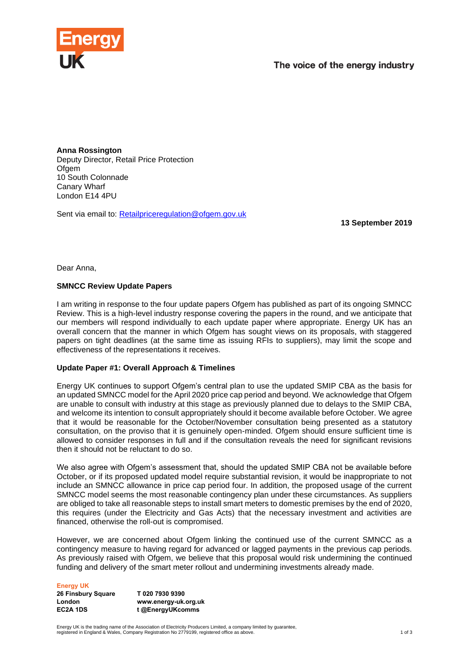

**Anna Rossington** Deputy Director, Retail Price Protection Ofgem 10 South Colonnade Canary Wharf London E14 4PU

Sent via email to: [Retailpriceregulation@ofgem.gov.uk](mailto:Retailpriceregulation@ofgem.gov.uk)

**13 September 2019**

Dear Anna,

# **SMNCC Review Update Papers**

I am writing in response to the four update papers Ofgem has published as part of its ongoing SMNCC Review. This is a high-level industry response covering the papers in the round, and we anticipate that our members will respond individually to each update paper where appropriate. Energy UK has an overall concern that the manner in which Ofgem has sought views on its proposals, with staggered papers on tight deadlines (at the same time as issuing RFIs to suppliers), may limit the scope and effectiveness of the representations it receives.

# **Update Paper #1: Overall Approach & Timelines**

Energy UK continues to support Ofgem's central plan to use the updated SMIP CBA as the basis for an updated SMNCC model for the April 2020 price cap period and beyond. We acknowledge that Ofgem are unable to consult with industry at this stage as previously planned due to delays to the SMIP CBA, and welcome its intention to consult appropriately should it become available before October. We agree that it would be reasonable for the October/November consultation being presented as a statutory consultation, on the proviso that it is genuinely open-minded. Ofgem should ensure sufficient time is allowed to consider responses in full and if the consultation reveals the need for significant revisions then it should not be reluctant to do so.

We also agree with Ofgem's assessment that, should the updated SMIP CBA not be available before October, or if its proposed updated model require substantial revision, it would be inappropriate to not include an SMNCC allowance in price cap period four. In addition, the proposed usage of the current SMNCC model seems the most reasonable contingency plan under these circumstances. As suppliers are obliged to take all reasonable steps to install smart meters to domestic premises by the end of 2020, this requires (under the Electricity and Gas Acts) that the necessary investment and activities are financed, otherwise the roll-out is compromised.

However, we are concerned about Ofgem linking the continued use of the current SMNCC as a contingency measure to having regard for advanced or lagged payments in the previous cap periods. As previously raised with Ofgem, we believe that this proposal would risk undermining the continued funding and delivery of the smart meter rollout and undermining investments already made.

#### **Energy UK**

**26 Finsbury Square London EC2A 1DS**

**T 020 7930 9390 www.energy-uk.org.uk t @EnergyUKcomms**

Energy UK is the trading name of the Association of Electricity Producers Limited, a company limited by guarantee,<br>registered in England & Wales, Company Registration No 2779199, registered office as above.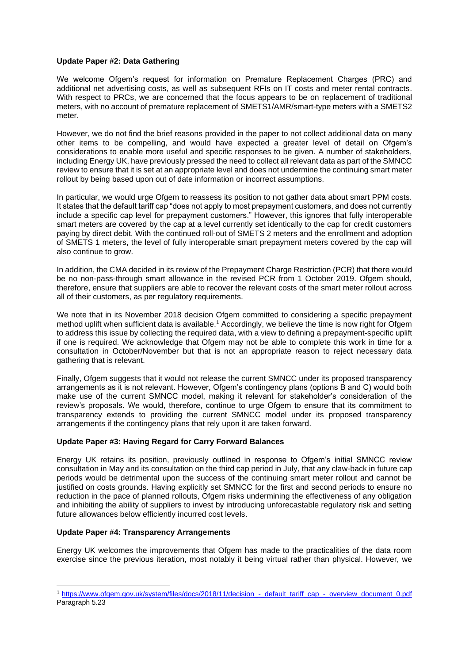## **Update Paper #2: Data Gathering**

We welcome Ofgem's request for information on Premature Replacement Charges (PRC) and additional net advertising costs, as well as subsequent RFIs on IT costs and meter rental contracts. With respect to PRCs, we are concerned that the focus appears to be on replacement of traditional meters, with no account of premature replacement of SMETS1/AMR/smart-type meters with a SMETS2 meter.

However, we do not find the brief reasons provided in the paper to not collect additional data on many other items to be compelling, and would have expected a greater level of detail on Ofgem's considerations to enable more useful and specific responses to be given. A number of stakeholders, including Energy UK, have previously pressed the need to collect all relevant data as part of the SMNCC review to ensure that it is set at an appropriate level and does not undermine the continuing smart meter rollout by being based upon out of date information or incorrect assumptions.

In particular, we would urge Ofgem to reassess its position to not gather data about smart PPM costs. It states that the default tariff cap "does not apply to most prepayment customers, and does not currently include a specific cap level for prepayment customers." However, this ignores that fully interoperable smart meters are covered by the cap at a level currently set identically to the cap for credit customers paying by direct debit. With the continued roll-out of SMETS 2 meters and the enrollment and adoption of SMETS 1 meters, the level of fully interoperable smart prepayment meters covered by the cap will also continue to grow.

In addition, the CMA decided in its review of the Prepayment Charge Restriction (PCR) that there would be no non-pass-through smart allowance in the revised PCR from 1 October 2019. Ofgem should, therefore, ensure that suppliers are able to recover the relevant costs of the smart meter rollout across all of their customers, as per regulatory requirements.

We note that in its November 2018 decision Ofgem committed to considering a specific prepayment method uplift when sufficient data is available.<sup>1</sup> Accordingly, we believe the time is now right for Ofgem to address this issue by collecting the required data, with a view to defining a prepayment-specific uplift if one is required. We acknowledge that Ofgem may not be able to complete this work in time for a consultation in October/November but that is not an appropriate reason to reject necessary data gathering that is relevant.

Finally, Ofgem suggests that it would not release the current SMNCC under its proposed transparency arrangements as it is not relevant. However, Ofgem's contingency plans (options B and C) would both make use of the current SMNCC model, making it relevant for stakeholder's consideration of the review's proposals. We would, therefore, continue to urge Ofgem to ensure that its commitment to transparency extends to providing the current SMNCC model under its proposed transparency arrangements if the contingency plans that rely upon it are taken forward.

## **Update Paper #3: Having Regard for Carry Forward Balances**

Energy UK retains its position, previously outlined in response to Ofgem's initial SMNCC review consultation in May and its consultation on the third cap period in July, that any claw-back in future cap periods would be detrimental upon the success of the continuing smart meter rollout and cannot be justified on costs grounds. Having explicitly set SMNCC for the first and second periods to ensure no reduction in the pace of planned rollouts, Ofgem risks undermining the effectiveness of any obligation and inhibiting the ability of suppliers to invest by introducing unforecastable regulatory risk and setting future allowances below efficiently incurred cost levels.

## **Update Paper #4: Transparency Arrangements**

Energy UK welcomes the improvements that Ofgem has made to the practicalities of the data room exercise since the previous iteration, most notably it being virtual rather than physical. However, we

<sup>1</sup> [https://www.ofgem.gov.uk/system/files/docs/2018/11/decision\\_-\\_default\\_tariff\\_cap\\_-\\_overview\\_document\\_0.pdf](https://www.ofgem.gov.uk/system/files/docs/2018/11/decision_-_default_tariff_cap_-_overview_document_0.pdf) Paragraph 5.23